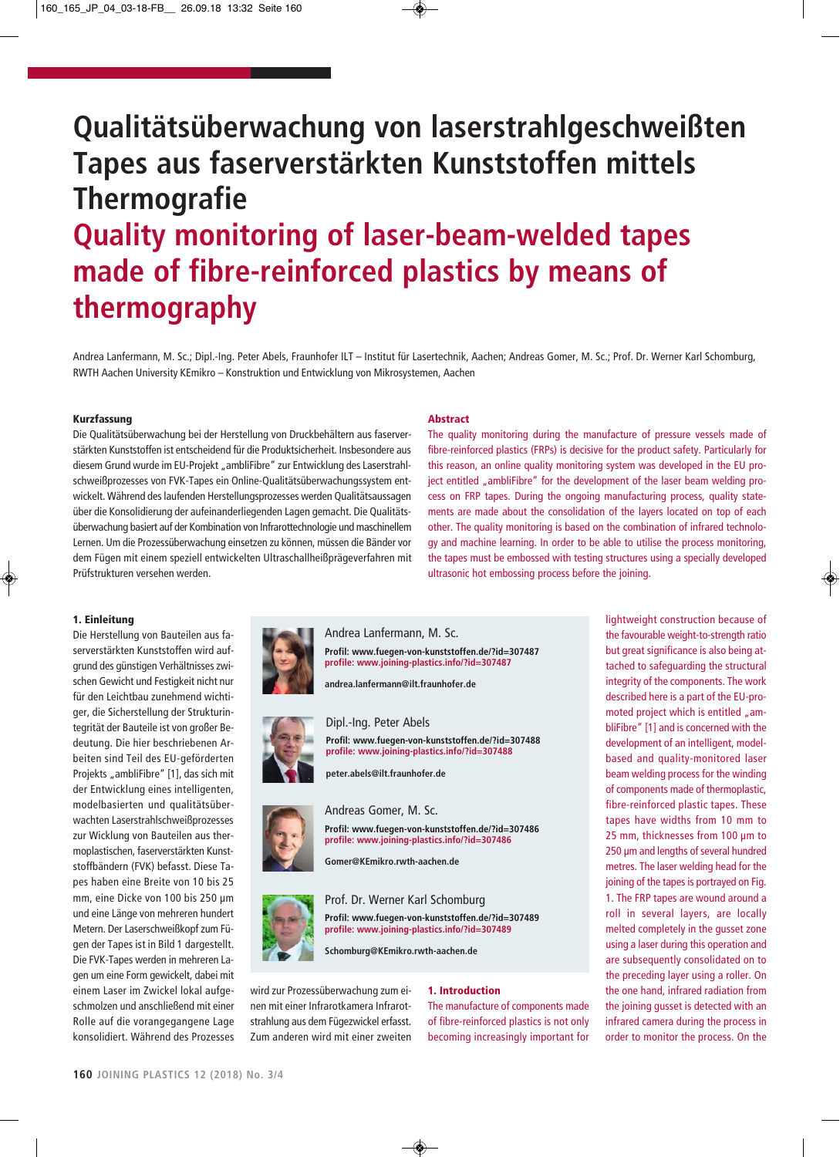# **Qualitätsüberwachung von laserstrahlgeschweißten Tapes aus faserverstärkten Kunststoffen mittels Thermografie Quality monitoring of laser-beam-welded tapes made of fibre-reinforced plastics by means of thermography**

Andrea Lanfermann, M. Sc.; Dipl.-Ing. Peter Abels, Fraunhofer ILT – Institut für Lasertechnik, Aachen; Andreas Gomer, M. Sc.; Prof. Dr. Werner Karl Schomburg, RWTH Aachen University KEmikro – Konstruktion und Entwicklung von Mikrosystemen, Aachen

#### **Kurzfassung**

Die Qualitätsüberwachung bei der Herstellung von Druckbehältern aus faserverstärkten Kunststoffen ist entscheidend für die Produktsicherheit. Insbesondere aus diesem Grund wurde im EU-Projekt "ambliFibre" zur Entwicklung des Laserstrahlschweißprozesses von FVK-Tapes ein Online-Qualitätsüberwachungssystem entwickelt. Während des laufenden Herstellungsprozesses werden Qualitätsaussagen über die Konsolidierung der aufeinanderliegenden Lagen gemacht. Die Qualitätsüberwachung basiert auf der Kombination von Infrarottechnologie und maschinellem Lernen. Um die Prozessüberwachung einsetzen zu können, müssen die Bänder vor dem Fügen mit einem speziell entwickelten Ultraschallheißprägeverfahren mit Prüfstrukturen versehen werden.

### **Abstract**

The quality monitoring during the manufacture of pressure vessels made of fibre-reinforced plastics (FRPs) is decisive for the product safety. Particularly for this reason, an online quality monitoring system was developed in the EU project entitled "ambliFibre" for the development of the laser beam welding process on FRP tapes. During the ongoing manufacturing process, quality statements are made about the consolidation of the layers located on top of each other. The quality monitoring is based on the combination of infrared technology and machine learning. In order to be able to utilise the process monitoring, the tapes must be embossed with testing structures using a specially developed ultrasonic hot embossing process before the joining.

## **1. Einleitung**

Die Herstellung von Bauteilen aus faserverstärkten Kunststoffen wird aufgrund des günstigen Verhältnisses zwischen Gewicht und Festigkeit nicht nur für den Leichtbau zunehmend wichtiger, die Sicherstellung der Strukturintegrität der Bauteile ist von großer Bedeutung. Die hier beschriebenen Arbeiten sind Teil des EU-geförderten Projekts "ambliFibre" [1], das sich mit der Entwicklung eines intelligenten, modelbasierten und qualitätsüberwachten Laserstrahlschweiß prozesses zur Wicklung von Bauteilen aus thermoplastischen, faserverstärkten Kunststoffbändern (FVK) befasst. Diese Tapes haben eine Breite von 10 bis 25 mm, eine Dicke von 100 bis 250 µm und eine Länge von mehreren hundert Metern. Der Laserschweißkopf zum Fügen der Tapes ist in Bild 1 dargestellt. Die FVK-Tapes werden in mehreren Lagen um eine Form gewickelt, dabei mit einem Laser im Zwickel lokal aufgeschmolzen und anschließend mit einer Rolle auf die vorangegangene Lage konsolidiert. Während des Prozesses



Andrea Lanfermann, M. Sc. **Profil: www.fuegen-von-kunststoffen.de/?id=307487 profile: www.joining-plastics.info/?id=307487**

**andrea.lanfermann@ilt.fraunhofer.de**



Dipl.-Ing. Peter Abels



**peter.abels@ilt.fraunhofer.de**

**Gomer@KEmikro.rwth-aachen.de**

## Andreas Gomer, M. Sc.



Prof. Dr. Werner Karl Schomburg **Profil: www.fuegen-von-kunststoffen.de/?id=307489 profile: www.joining-plastics.info/?id=307489**

**Profil: www.fuegen-von-kunststoffen.de/?id=307486 profile: www.joining-plastics.info/?id=307486**

**Profil: www.fuegen-von-kunststoffen.de/?id=307488 profile: www.joining-plastics.info/?id=307488**

**Schomburg@KEmikro.rwth-aachen.de**

wird zur Prozessüberwachung zum einen mit einer Infrarotkamera Infrarotstrahlung aus dem Fügezwickel erfasst. Zum anderen wird mit einer zweiten

## **1. Introduction**

The manufacture of components made of fibre-reinforced plastics is not only becoming increasingly important for lightweight construction because of the favourable weight-to-strength ratio but great significance is also being attached to safeguarding the structural integrity of the components. The work described here is a part of the EU-promoted project which is entitled "ambliFibre" [1] and is concerned with the development of an intelligent, modelbased and quality-monitored laser beam welding process for the winding of components made of thermoplastic, fibre-reinforced plastic tapes. These tapes have widths from 10 mm to 25 mm, thicknesses from 100 µm to 250 µm and lengths of several hundred metres. The laser welding head for the joining of the tapes is portrayed on Fig. 1. The FRP tapes are wound around a roll in several layers, are locally melted completely in the gusset zone using a laser during this operation and are subsequently consolidated on to the preceding layer using a roller. On the one hand, infrared radiation from the joining gusset is detected with an infrared camera during the process in order to monitor the process. On the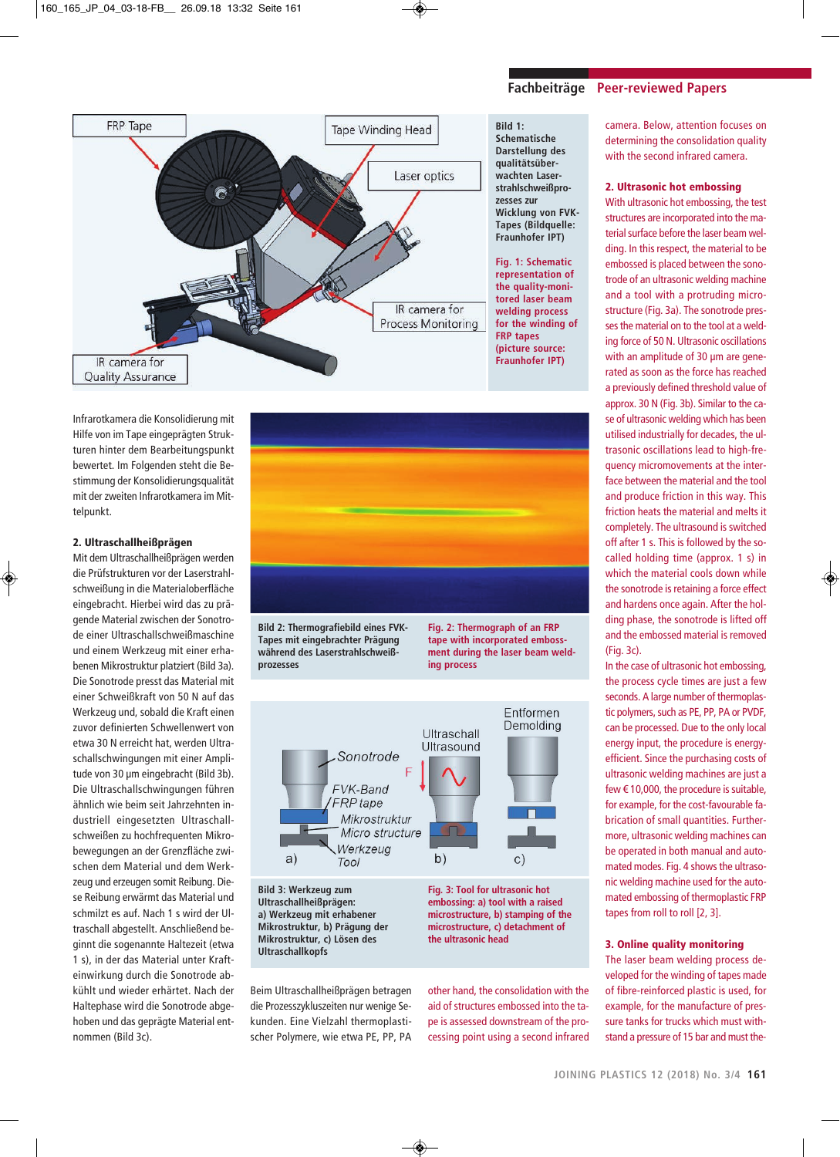

**Bild 1: Schematische Darstellung des qualitätsüberwachten Laserstrahlschweißprozesses zur Wicklung von FVK-Tapes (Bildquelle: Fraunhofer IPT)**

**Fig. 1: Schematic representation of the quality-monitored laser beam welding process for the winding of FRP tapes (picture source: Fraunhofer IPT)**

Infrarotkamera die Konsolidierung mit Hilfe von im Tape eingeprägten Strukturen hinter dem Bearbeitungspunkt bewertet. Im Folgenden steht die Bestimmung der Konsolidierungsqualität mit der zweiten Infrarotkamera im Mittelpunkt.

## **2. Ultraschallheißprägen**

Mit dem Ultraschallheißprägen werden die Prüfstrukturen vor der Laserstrahlschweißung in die Materialoberfläche eingebracht. Hierbei wird das zu prägende Material zwischen der Sonotrode einer Ultraschallschweißmaschine und einem Werkzeug mit einer erhabenen Mikrostruktur platziert (Bild 3a). Die Sonotrode presst das Material mit einer Schweißkraft von 50 N auf das Werkzeug und, sobald die Kraft einen zuvor definierten Schwellenwert von etwa 30 N erreicht hat, werden Ultraschallschwingungen mit einer Amplitude von 30 um eingebracht (Bild 3b). Die Ultraschallschwingungen führen ähnlich wie beim seit Jahrzehnten industriell eingesetzten Ultraschallschweißen zu hochfrequenten Mikrobewegungen an der Grenzfläche zwischen dem Material und dem Werkzeug und erzeugen somit Reibung. Diese Reibung erwärmt das Material und schmilzt es auf. Nach 1 s wird der Ultraschall abgestellt. Anschließend beginnt die sogenannte Haltezeit (etwa 1 s), in der das Material unter Krafteinwirkung durch die Sonotrode abkühlt und wieder erhärtet. Nach der Haltephase wird die Sonotrode abgehoben und das geprägte Material entnommen (Bild 3c).



**Bild 2: Thermografiebild eines FVK-Tapes mit eingebrachter Prägung während des Laserstrahlschweißprozesses**

**Fig. 2: Thermograph of an FRP tape with incorporated embossment during the laser beam welding process**



**Ultraschallheißprägen: a) Werkzeug mit erhabener Mikrostruktur, b) Prägung der Mikrostruktur, c) Lösen des Ultraschallkopfs**

Beim Ultraschallheißprägen betragen die Prozesszykluszeiten nur wenige Sekunden. Eine Vielzahl thermoplastischer Polymere, wie etwa PE, PP, PA **embossing: a) tool with a raised microstructure, b) stamping of the microstructure, c) detachment of the ultrasonic head**

other hand, the consolidation with the aid of structures embossed into the tape is assessed downstream of the processing point using a second infrared

camera. Below, attention focuses on determining the consolidation quality with the second infrared camera.

## **2. Ultrasonic hot embossing**

With ultrasonic hot embossing, the test structures are incorporated into the material surface before the laser beam welding. In this respect, the material to be embossed is placed between the sonotrode of an ultrasonic welding machine and a tool with a protruding microstructure (Fig. 3a). The sonotrode presses the material on to the tool at a welding force of 50 N. Ultrasonic oscillations with an amplitude of 30 µm are generated as soon as the force has reached a previously defined threshold value of approx. 30 N (Fig. 3b). Similar to the case of ultrasonic welding which has been utilised industrially for decades, the ultrasonic oscillations lead to high-frequency micromovements at the interface between the material and the tool and produce friction in this way. This friction heats the material and melts it completely. The ultrasound is switched off after 1 s. This is followed by the socalled holding time (approx. 1 s) in which the material cools down while the sonotrode is retaining a force effect and hardens once again. After the holding phase, the sonotrode is lifted off and the embossed material is removed (Fig. 3c).

In the case of ultrasonic hot embossing, the process cycle times are just a few seconds. A large number of thermoplastic polymers, such as PE, PP, PA or PVDF, can be processed. Due to the only local energy input, the procedure is energyefficient. Since the purchasing costs of ultrasonic welding machines are just a few € 10,000, the procedure is suitable, for example, for the cost-favourable fabrication of small quantities. Furthermore, ultrasonic welding machines can be operated in both manual and automated modes. Fig. 4 shows the ultrasonic welding machine used for the automated embossing of thermoplastic FRP tapes from roll to roll [2, 3].

## **3. Online quality monitoring**

The laser beam welding process developed for the winding of tapes made of fibre-reinforced plastic is used, for example, for the manufacture of pressure tanks for trucks which must withstand a pressure of 15 bar and must the-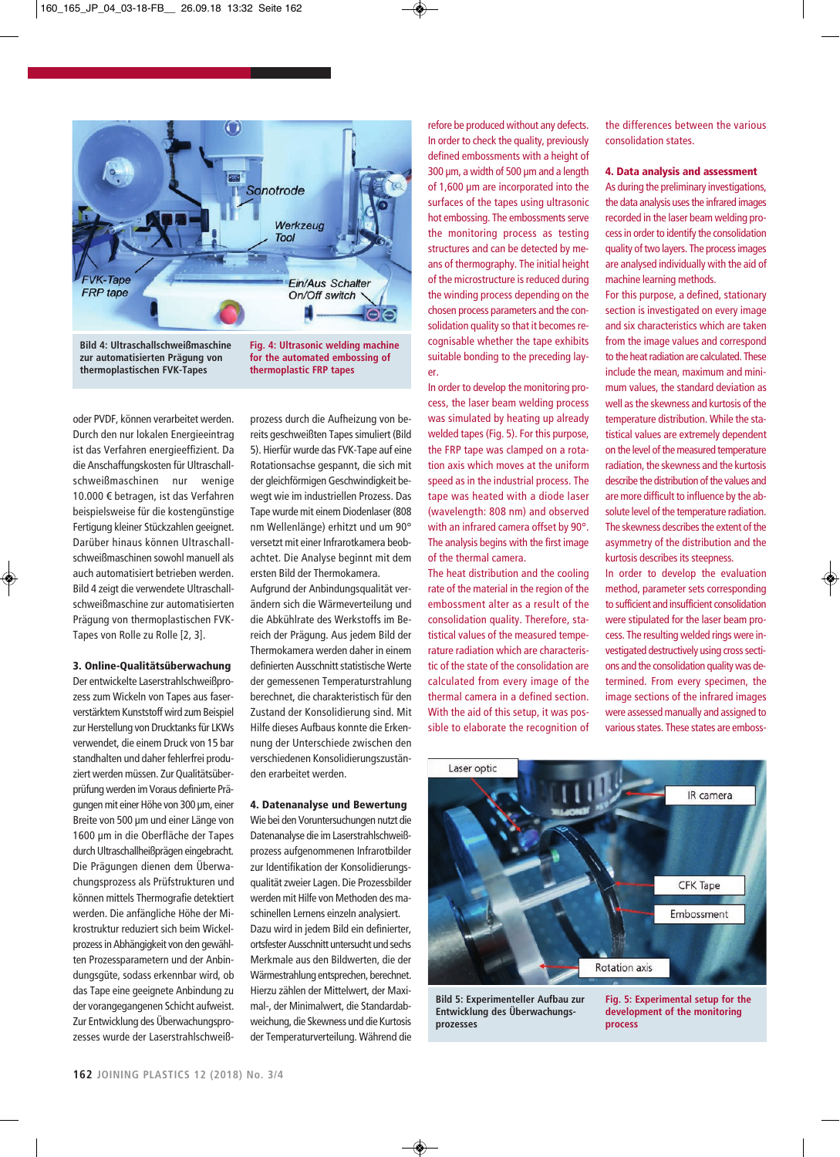

**zur automatisierten Prägung von thermoplastischen FVK-Tapes**

**for the automated embossing of thermoplastic FRP tapes**

oder PVDF, können verarbeitet werden. Durch den nur lokalen Energieeintrag ist das Verfahren energieeffizient. Da die Anschaffungskosten für Ultraschallschweißmaschinen nur wenige 10.000 € betragen, ist das Verfahren beispielsweise für die kostengünstige Fertigung kleiner Stückzahlen geeignet. Darü ber hinaus können Ultraschallschweißmaschinen sowohl manuell als auch automatisiert betrieben werden. Bild 4 zeigt die verwendete Ultraschallschweiß maschine zur automatisierten Prägung von thermoplastischen FVK-Tapes von Rolle zu Rolle [2, 3].

## **3. Online-Qualitätsüberwachung**

Der entwickelte Laserstrahlschweißprozess zum Wickeln von Tapes aus faserverstärktem Kunststoff wird zum Beispiel zur Herstellung von Drucktanks für LKWs verwendet, die einem Druck von 15 bar standhalten und daher fehlerfrei produziert werden müssen. Zur Qualitätsüberprüfung werden im Voraus definierte Prägungen mit einer Höhe von 300 µm, einer Breite von 500 µm und einer Länge von 1600 µm in die Oberfläche der Tapes durch Ultraschallheißprägen eingebracht. Die Prägungen dienen dem Überwachungsprozess als Prüfstrukturen und können mittels Thermografie detektiert werden. Die anfängliche Höhe der Mikrostruktur reduziert sich beim Wickelprozess in Abhängigkeit von den gewählten Prozessparametern und der Anbindungsgüte, sodass erkennbar wird, ob das Tape eine geeignete Anbindung zu der vorangegangenen Schicht aufweist. Zur Entwicklung des Überwachungsprozesses wurde der Laserstrahlschweiß-

prozess durch die Aufheizung von bereits geschweißten Tapes simuliert (Bild 5). Hierfür wurde das FVK-Tape auf eine Rotationsachse gespannt, die sich mit der gleichförmigen Geschwindigkeit bewegt wie im industriellen Prozess. Das Tape wurde mit einem Diodenlaser (808 nm Wellenlänge) erhitzt und um 90° versetzt mit einer Infrarotkamera beobachtet. Die Analyse beginnt mit dem ersten Bild der Thermokamera.

Aufgrund der Anbindungsqualität verändern sich die Wärmeverteilung und die Abkühlrate des Werkstoffs im Bereich der Prägung. Aus jedem Bild der Thermokamera werden daher in einem definierten Ausschnitt statistische Werte der gemessenen Temperaturstrahlung berechnet, die charakteristisch für den Zustand der Konsolidierung sind. Mit Hilfe dieses Aufbaus konnte die Erkennung der Unterschiede zwischen den verschiedenen Konsolidierungszuständen erarbeitet werden.

## **4. Datenanalyse und Bewertung**

Wie bei den Voruntersuchungen nutzt die Datenanalyse die im Laserstrahlschweißprozess aufgenommenen Infrarotbilder zur Identifikation der Konsolidierungsqualität zweier Lagen. Die Prozessbilder werden mit Hilfe von Methoden des maschinellen Lernens einzeln analysiert. Dazu wird in jedem Bild ein definierter, ortsfester Ausschnitt untersucht und sechs Merkmale aus den Bildwerten, die der Wärmestrahlung entsprechen, berechnet. Hierzu zählen der Mittelwert, der Maximal-, der Minimalwert, die Standardabweichung, die Skewness und die Kurtosis der Temperaturverteilung. Während die

refore be produced without any defects. In order to check the quality, previously defined embossments with a height of 300 µm, a width of 500 µm and a length of 1,600 µm are incorporated into the surfaces of the tapes using ultrasonic hot embossing. The embossments serve the monitoring process as testing structures and can be detected by means of thermography. The initial height of the microstructure is reduced during the winding process depending on the chosen process parameters and the consolidation quality so that it becomes recognisable whether the tape exhibits suitable bonding to the preceding layer.

In order to develop the monitoring process, the laser beam welding process was simulated by heating up already welded tapes (Fig. 5). For this purpose, the FRP tape was clamped on a rotation axis which moves at the uniform speed as in the industrial process. The tape was heated with a diode laser (wavelength: 808 nm) and observed with an infrared camera offset by 90°. The analysis begins with the first image of the thermal camera.

The heat distribution and the cooling rate of the material in the region of the embossment alter as a result of the consolidation quality. Therefore, statistical values of the measured temperature radiation which are characteristic of the state of the consolidation are calculated from every image of the thermal camera in a defined section. With the aid of this setup, it was possible to elaborate the recognition of the differences between the various consolidation states.

## **4. Data analysis and assessment**

As during the preliminary investigations, the data analysis uses the infrared images recorded in the laser beam welding process in order to identify the consolidation quality of two layers. The process images are analysed individually with the aid of machine learning methods.

For this purpose, a defined, stationary section is investigated on every image and six characteristics which are taken from the image values and correspond to the heat radiation are calculated. These include the mean, maximum and minimum values, the standard deviation as well as the skewness and kurtosis of the temperature distribution. While the statistical values are extremely dependent on the level of the measured temperature radiation, the skewness and the kurtosis describe the distribution of the values and are more difficult to influence by the absolute level of the temperature radiation. The skewness describes the extent of the asymmetry of the distribution and the kurtosis describes its steepness.

In order to develop the evaluation method, parameter sets corresponding to sufficient and insufficient consolidation were stipulated for the laser beam process. The resulting welded rings were investigated destructively using cross sections and the consolidation quality was determined. From every specimen, the image sections of the infrared images were assessed manually and assigned to various states. These states are emboss-



**Bild 5: Experimenteller Aufbau zur Entwicklung des Überwachungsprozesses**

**Fig. 5: Experimental setup for the development of the monitoring process**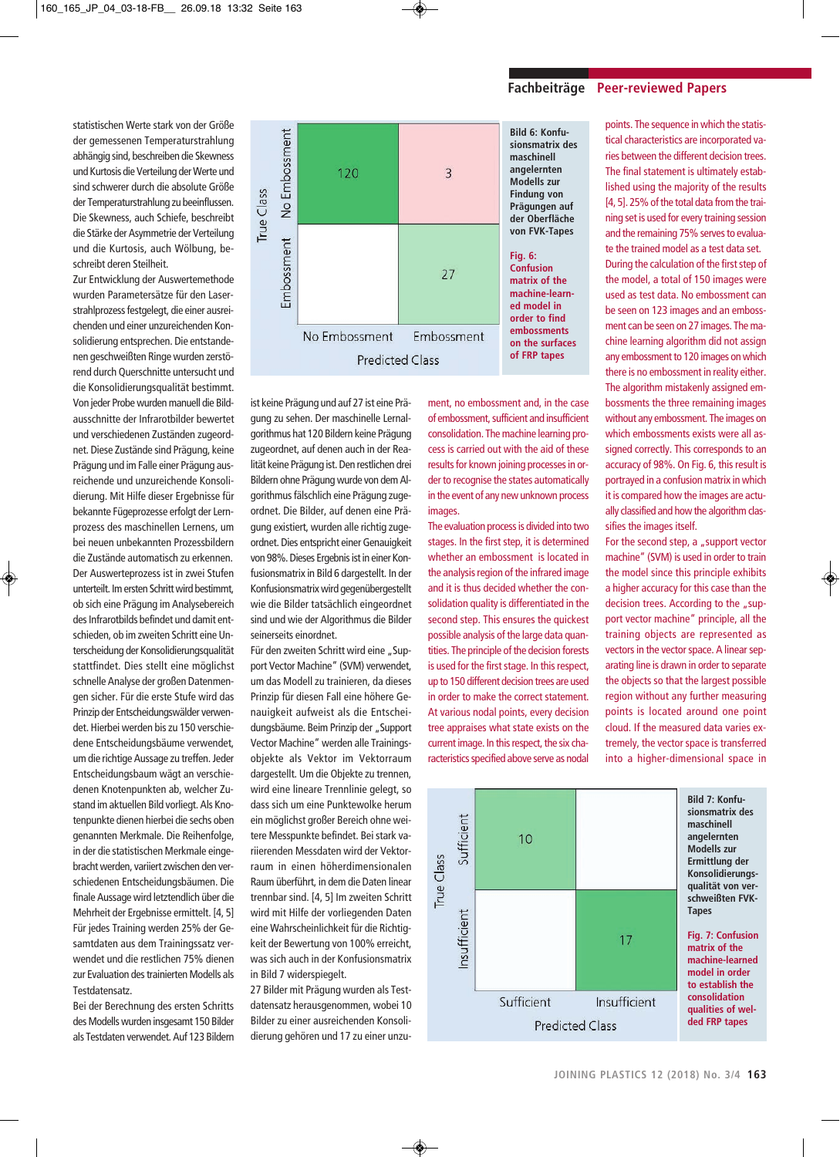statistischen Werte stark von der Größe der gemessenen Temperaturstrahlung abhängig sind, beschreiben die Skewness und Kurtosis die Verteilung der Werte und sind schwerer durch die absolute Größe der Temperaturstrahlung zu beeinflussen. Die Skewness, auch Schiefe, beschreibt die Stärke der Asymmetrie der Verteilung und die Kurtosis, auch Wölbung, beschreibt deren Steilheit.

Zur Entwicklung der Auswertemethode wurden Parametersätze für den Laserstrahlprozess festgelegt, die einer ausreichenden und einer unzureichenden Konsolidierung entsprechen. Die entstandenen geschweißten Ringe wurden zerstörend durch Querschnitte untersucht und die Konsolidierungsqualität bestimmt. Von jeder Probe wurden manuell die Bildausschnitte der Infrarotbilder bewertet und verschiedenen Zuständen zugeordnet. Diese Zustände sind Prägung, keine Prägung und im Falle einer Prägung ausreichende und unzureichende Konsolidierung. Mit Hilfe dieser Ergebnisse für bekannte Fügeprozesse erfolgt der Lernprozess des maschinellen Lernens, um bei neuen unbekannten Prozessbildern die Zustände automatisch zu erkennen. Der Auswerteprozess ist in zwei Stufen unterteilt. Im ersten Schritt wird bestimmt, ob sich eine Prägung im Analysebereich des Infrarotbilds befindet und damit entschieden, ob im zweiten Schritt eine Unterscheidung der Konsolidierungsqualität stattfindet. Dies stellt eine möglichst schnelle Analyse der großen Datenmengen sicher. Für die erste Stufe wird das Prinzip der Entscheidungswälder verwendet. Hierbei werden bis zu 150 verschiedene Entscheidungsbäume verwendet, um die richtige Aussage zu treffen. Jeder Entscheidungsbaum wägt an verschiedenen Knotenpunkten ab, welcher Zustand im aktuellen Bild vorliegt. Als Knotenpunkte dienen hierbei die sechs oben genannten Merkmale. Die Reihenfolge, in der die statistischen Merkmale eingebracht werden, variiert zwischen den verschiedenen Entscheidungsbäumen. Die finale Aussage wird letztendlich über die Mehrheit der Ergebnisse ermittelt. [4, 5] Für jedes Training werden 25% der Gesamtdaten aus dem Trainingssatz verwendet und die restlichen 75% dienen zur Evaluation des trainierten Modells als Testdatensatz.

Bei der Berechnung des ersten Schritts des Modells wurden insgesamt 150 Bilder als Testdaten verwendet. Auf 123 Bildern



**Bild 6: Konfu-**

ment, no embossment and, in the case of embossment, sufficient and insufficient consolidation. The machine learning process is carried out with the aid of these results for known joining processes in order to recognise the states automatically in the event of any new unknown process

The evaluation process is divided into two stages. In the first step, it is determined whether an embossment is located in the analysis region of the infrared image and it is thus decided whether the consolidation quality is differentiated in the second step. This ensures the quickest possible analysis of the large data quantities. The principle of the decision forests is used for the first stage. In this respect, up to 150 different decision trees are used in order to make the correct statement. At various nodal points, every decision tree appraises what state exists on the current image. In this respect, the six characteristics specified above serve as nodal

images.

points. The sequence in which the statistical characteristics are incorporated varies between the different decision trees. The final statement is ultimately established using the majority of the results [4, 5]. 25% of the total data from the training set is used for every training session and the remaining 75% serves to evaluate the trained model as a test data set. During the calculation of the first step of the model, a total of 150 images were used as test data. No embossment can be seen on 123 images and an embossment can be seen on 27 images. The machine learning algorithm did not assign any embossment to 120 images on which there is no embossment in reality either. The algorithm mistakenly assigned embossments the three remaining images without any embossment. The images on which embossments exists were all assigned correctly. This corresponds to an accuracy of 98%. On Fig. 6, this result is portrayed in a confusion matrix in which it is compared how the images are actually classified and how the algorithm classifies the images itself.

For the second step, a "support vector machine" (SVM) is used in order to train the model since this principle exhibits a higher accuracy for this case than the decision trees. According to the "support vector machine" principle, all the training objects are represented as vectors in the vector space. A linear separating line is drawn in order to separate the objects so that the largest possible region without any further measuring points is located around one point cloud. If the measured data varies extremely, the vector space is transferred into a higher-dimensional space in



## **Fachbeiträge Peer-reviewed Papers**

ist keine Prägung und auf 27 ist eine Prägung zu sehen. Der maschinelle Lernalgorithmus hat 120 Bildern keine Prägung zugeordnet, auf denen auch in der Realität keine Prägung ist. Den restlichen drei Bildern ohne Prägung wurde von dem Algorithmus fälschlich eine Prägung zugeordnet. Die Bilder, auf denen eine Prägung existiert, wurden alle richtig zugeordnet. Dies entspricht einer Genauigkeit von 98%. Dieses Ergebnis ist in einer Konfusionsmatrix in Bild 6 dargestellt. In der Konfusionsmatrix wird gegenübergestellt wie die Bilder tatsächlich eingeordnet sind und wie der Algorithmus die Bilder seinerseits einordnet.

Für den zweiten Schritt wird eine "Support Vector Machine" (SVM) verwendet, um das Modell zu trainieren, da dieses Prinzip für diesen Fall eine höhere Genauigkeit aufweist als die Entscheidungsbäume. Beim Prinzip der "Support Vector Machine" werden alle Trainingsobjekte als Vektor im Vektorraum darge stellt. Um die Objekte zu trennen, wird eine lineare Trennlinie gelegt, so dass sich um eine Punktewolke herum ein möglichst großer Bereich ohne weitere Messpunkte befindet. Bei stark variierenden Messdaten wird der Vektorraum in einen höherdimensionalen Raum überführt, in dem die Daten linear trennbar sind. [4, 5] Im zweiten Schritt wird mit Hilfe der vorliegenden Daten eine Wahrscheinlichkeit für die Richtigkeit der Bewertung von 100% erreicht, was sich auch in der Konfusionsmatrix in Bild 7 widerspiegelt.

27 Bilder mit Prägung wurden als Testdatensatz herausgenommen, wobei 10 Bilder zu einer ausreichenden Konsolidierung gehören und 17 zu einer unzu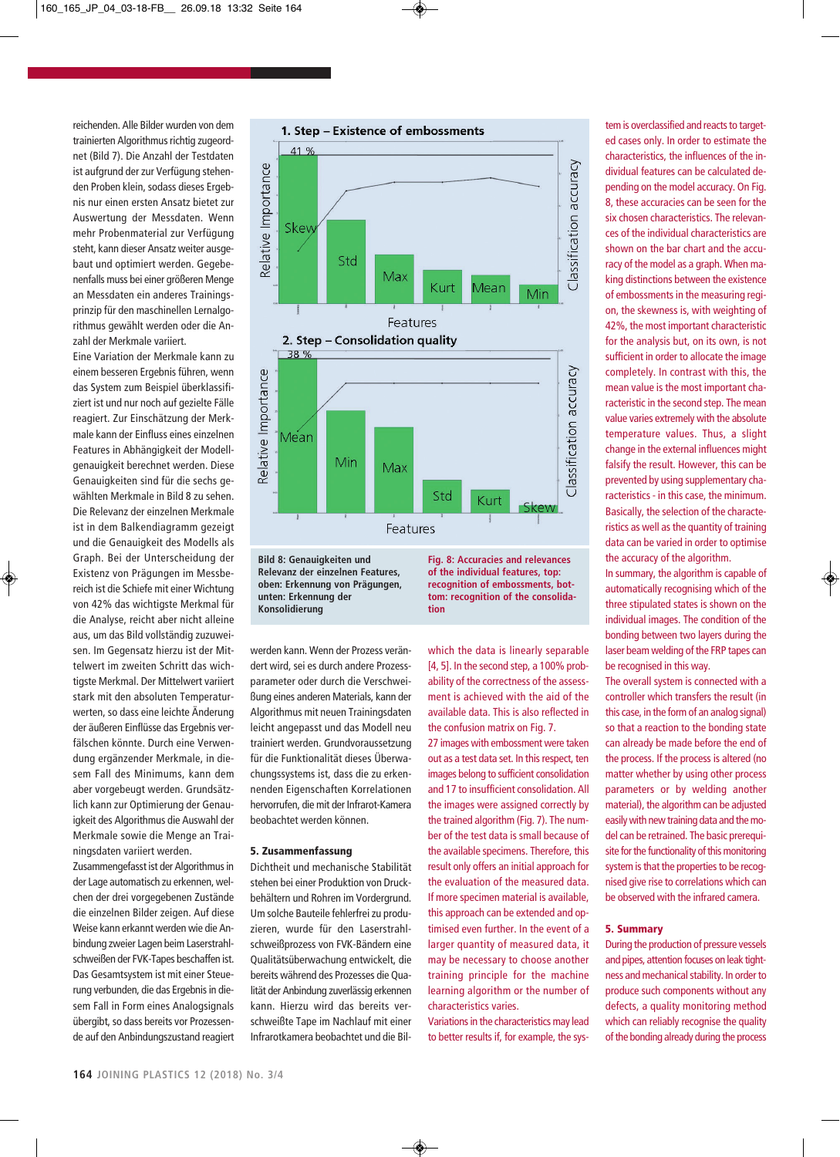reichenden. Alle Bilder wurden von dem trainierten Algorithmus richtig zugeordnet (Bild 7). Die Anzahl der Testdaten ist aufgrund der zur Verfügung stehenden Proben klein, sodass dieses Ergebnis nur einen ersten Ansatz bietet zur Auswertung der Messdaten. Wenn mehr Probenmaterial zur Verfügung steht, kann dieser Ansatz weiter ausgebaut und optimiert werden. Gegebenenfalls muss bei einer größeren Menge an Messdaten ein anderes Trainingsprinzip für den maschinellen Lernalgorithmus gewählt werden oder die Anzahl der Merkmale variiert.

Eine Variation der Merkmale kann zu einem besseren Ergebnis führen, wenn das System zum Beispiel überklassifiziert ist und nur noch auf gezielte Fälle reagiert. Zur Einschätzung der Merkmale kann der Einfluss eines einzelnen Features in Abhängigkeit der Modellgenauigkeit berechnet werden. Diese Genauigkeiten sind für die sechs gewählten Merkmale in Bild 8 zu sehen. Die Relevanz der einzelnen Merkmale ist in dem Balkendiagramm gezeigt und die Genauigkeit des Modells als Graph. Bei der Unterscheidung der Existenz von Prägungen im Messbereich ist die Schiefe mit einer Wichtung von 42% das wichtigste Merkmal für die Analyse, reicht aber nicht alleine aus, um das Bild vollständig zuzuweisen. Im Gegensatz hierzu ist der Mittelwert im zweiten Schritt das wichtigste Merkmal. Der Mittelwert variiert stark mit den absoluten Temperaturwerten, so dass eine leichte Änderung der äußeren Einflüsse das Ergebnis verfälschen könnte. Durch eine Verwendung ergänzender Merkmale, in diesem Fall des Minimums, kann dem aber vorgebeugt werden. Grundsätzlich kann zur Optimierung der Genauigkeit des Algorithmus die Auswahl der Merkmale sowie die Menge an Trainingsdaten variiert werden.

Zusammengefasst ist der Algorithmus in der Lage automatisch zu erkennen, welchen der drei vorgegebenen Zustände die einzelnen Bilder zeigen. Auf diese Weise kann erkannt werden wie die Anbindung zweier Lagen beim Laserstrahlschweißen der FVK-Tapes beschaffen ist. Das Gesamtsystem ist mit einer Steuerung verbunden, die das Ergebnis in diesem Fall in Form eines Analogsignals übergibt, so dass bereits vor Prozessende auf den Anbindungszustand reagiert



**recognition of embossments, bottom: recognition of the consolidation**

werden kann. Wenn der Prozess verändert wird, sei es durch andere Prozessparameter oder durch die Verschweißung eines anderen Materials, kann der Algorithmus mit neuen Trainingsdaten leicht angepasst und das Modell neu trainiert werden. Grundvoraussetzung für die Funktionalität dieses Überwachungssystems ist, dass die zu erkennenden Eigenschaften Korrelationen hervorrufen, die mit der Infrarot-Kamera beobachtet werden können.

## **5. Zusammenfassung**

**unten: Erkennung der Konsolidierung**

Dichtheit und mechanische Stabilität stehen bei einer Produktion von Druckbehältern und Rohren im Vordergrund. Um solche Bauteile fehlerfrei zu produzieren, wurde für den Laserstrahlschweißprozess von FVK-Bändern eine Qualitätsüberwachung entwickelt, die bereits während des Prozesses die Qualität der Anbindung zuverlässig erkennen kann. Hierzu wird das bereits verschweißte Tape im Nachlauf mit einer Infrarotkamera beobachtet und die Bilwhich the data is linearly separable [4, 5]. In the second step, a 100% probability of the correctness of the assessment is achieved with the aid of the available data. This is also reflected in the confusion matrix on Fig. 7.

27 images with embossment were taken out as a test data set. In this respect, ten images belong to sufficient consolidation and 17 to insufficient consolidation. All the images were assigned correctly by the trained algorithm (Fig. 7). The number of the test data is small because of the available specimens. Therefore, this result only offers an initial approach for the evaluation of the measured data. If more specimen material is available, this approach can be extended and optimised even further. In the event of a larger quantity of measured data, it may be necessary to choose another training principle for the machine learning algorithm or the number of characteristics varies.

Variations in the characteristics may lead to better results if, for example, the sys-

tem is overclassified and reacts to targeted cases only. In order to estimate the characteristics, the influences of the individual features can be calculated depending on the model accuracy. On Fig. 8, these accuracies can be seen for the six chosen characteristics. The relevances of the individual characteristics are shown on the bar chart and the accuracy of the model as a graph. When making distinctions between the existence of embossments in the measuring region, the skewness is, with weighting of 42%, the most important characteristic for the analysis but, on its own, is not sufficient in order to allocate the image completely. In contrast with this, the mean value is the most important characteristic in the second step. The mean value varies extremely with the absolute temperature values. Thus, a slight change in the external influences might falsify the result. However, this can be prevented by using supplementary characteristics - in this case, the minimum. Basically, the selection of the characteristics as well as the quantity of training data can be varied in order to optimise the accuracy of the algorithm.

In summary, the algorithm is capable of automatically recognising which of the three stipulated states is shown on the individual images. The condition of the bonding between two layers during the laser beam welding of the FRP tapes can be recognised in this way.

The overall system is connected with a controller which transfers the result (in this case, in the form of an analog signal) so that a reaction to the bonding state can already be made before the end of the process. If the process is altered (no matter whether by using other process parameters or by welding another material), the algorithm can be adjusted easily with new training data and the model can be retrained. The basic prerequisite for the functionality of this monitoring system is that the properties to be recognised give rise to correlations which can be observed with the infrared camera.

## **5. Summary**

During the production of pressure vessels and pipes, attention focuses on leak tightness and mechanical stability. In order to produce such components without any defects, a quality monitoring method which can reliably recognise the quality of the bonding already during the process